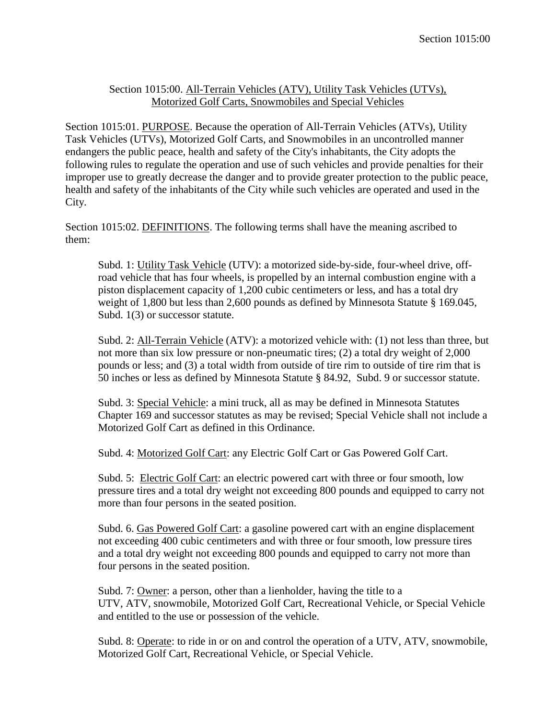## Section 1015:00. All-Terrain Vehicles (ATV), Utility Task Vehicles (UTVs), Motorized Golf Carts, Snowmobiles and Special Vehicles

Section 1015:01. PURPOSE. Because the operation of All-Terrain Vehicles (ATVs), Utility Task Vehicles (UTVs), Motorized Golf Carts, and Snowmobiles in an uncontrolled manner endangers the public peace, health and safety of the City's inhabitants, the City adopts the following rules to regulate the operation and use of such vehicles and provide penalties for their improper use to greatly decrease the danger and to provide greater protection to the public peace, health and safety of the inhabitants of the City while such vehicles are operated and used in the City.

Section 1015:02. DEFINITIONS. The following terms shall have the meaning ascribed to them:

Subd. 1: Utility Task Vehicle (UTV): a motorized side-by-side, four-wheel drive, offroad vehicle that has four wheels, is propelled by an internal combustion engine with a piston displacement capacity of 1,200 cubic centimeters or less, and has a total dry weight of 1,800 but less than 2,600 pounds as defined by Minnesota Statute § 169.045, Subd. 1(3) or successor statute.

Subd. 2: All-Terrain Vehicle (ATV): a motorized vehicle with: (1) not less than three, but not more than six low pressure or non-pneumatic tires; (2) a total dry weight of 2,000 pounds or less; and (3) a total width from outside of tire rim to outside of tire rim that is 50 inches or less as defined by Minnesota Statute § 84.92, Subd. 9 or successor statute.

Subd. 3: Special Vehicle: a mini truck, all as may be defined in Minnesota Statutes Chapter 169 and successor statutes as may be revised; Special Vehicle shall not include a Motorized Golf Cart as defined in this Ordinance.

Subd. 4: Motorized Golf Cart: any Electric Golf Cart or Gas Powered Golf Cart.

Subd. 5: Electric Golf Cart: an electric powered cart with three or four smooth, low pressure tires and a total dry weight not exceeding 800 pounds and equipped to carry not more than four persons in the seated position.

Subd. 6. Gas Powered Golf Cart: a gasoline powered cart with an engine displacement not exceeding 400 cubic centimeters and with three or four smooth, low pressure tires and a total dry weight not exceeding 800 pounds and equipped to carry not more than four persons in the seated position.

Subd. 7: Owner: a person, other than a lienholder, having the title to a UTV, ATV, snowmobile, Motorized Golf Cart, Recreational Vehicle, or Special Vehicle and entitled to the use or possession of the vehicle.

Subd. 8: Operate: to ride in or on and control the operation of a UTV, ATV, snowmobile, Motorized Golf Cart, Recreational Vehicle, or Special Vehicle.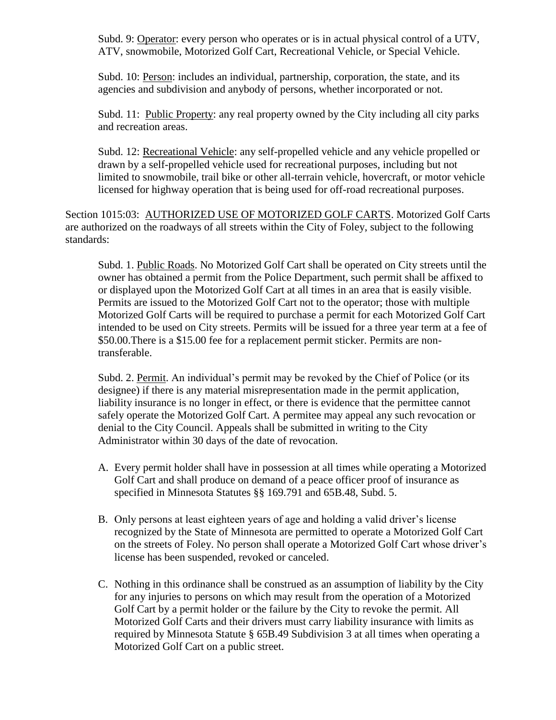Subd. 9: Operator: every person who operates or is in actual physical control of a UTV, ATV, snowmobile, Motorized Golf Cart, Recreational Vehicle, or Special Vehicle.

Subd. 10: Person: includes an individual, partnership, corporation, the state, and its agencies and subdivision and anybody of persons, whether incorporated or not.

Subd. 11: Public Property: any real property owned by the City including all city parks and recreation areas.

Subd. 12: Recreational Vehicle: any self-propelled vehicle and any vehicle propelled or drawn by a self-propelled vehicle used for recreational purposes, including but not limited to snowmobile, trail bike or other all-terrain vehicle, hovercraft, or motor vehicle licensed for highway operation that is being used for off-road recreational purposes.

Section 1015:03: AUTHORIZED USE OF MOTORIZED GOLF CARTS. Motorized Golf Carts are authorized on the roadways of all streets within the City of Foley, subject to the following standards:

Subd. 1. Public Roads. No Motorized Golf Cart shall be operated on City streets until the owner has obtained a permit from the Police Department, such permit shall be affixed to or displayed upon the Motorized Golf Cart at all times in an area that is easily visible. Permits are issued to the Motorized Golf Cart not to the operator; those with multiple Motorized Golf Carts will be required to purchase a permit for each Motorized Golf Cart intended to be used on City streets. Permits will be issued for a three year term at a fee of \$50.00.There is a \$15.00 fee for a replacement permit sticker. Permits are nontransferable.

Subd. 2. Permit. An individual's permit may be revoked by the Chief of Police (or its designee) if there is any material misrepresentation made in the permit application, liability insurance is no longer in effect, or there is evidence that the permittee cannot safely operate the Motorized Golf Cart. A permitee may appeal any such revocation or denial to the City Council. Appeals shall be submitted in writing to the City Administrator within 30 days of the date of revocation.

- A. Every permit holder shall have in possession at all times while operating a Motorized Golf Cart and shall produce on demand of a peace officer proof of insurance as specified in Minnesota Statutes §§ 169.791 and 65B.48, Subd. 5.
- B. Only persons at least eighteen years of age and holding a valid driver's license recognized by the State of Minnesota are permitted to operate a Motorized Golf Cart on the streets of Foley. No person shall operate a Motorized Golf Cart whose driver's license has been suspended, revoked or canceled.
- C. Nothing in this ordinance shall be construed as an assumption of liability by the City for any injuries to persons on which may result from the operation of a Motorized Golf Cart by a permit holder or the failure by the City to revoke the permit. All Motorized Golf Carts and their drivers must carry liability insurance with limits as required by Minnesota Statute § 65B.49 Subdivision 3 at all times when operating a Motorized Golf Cart on a public street.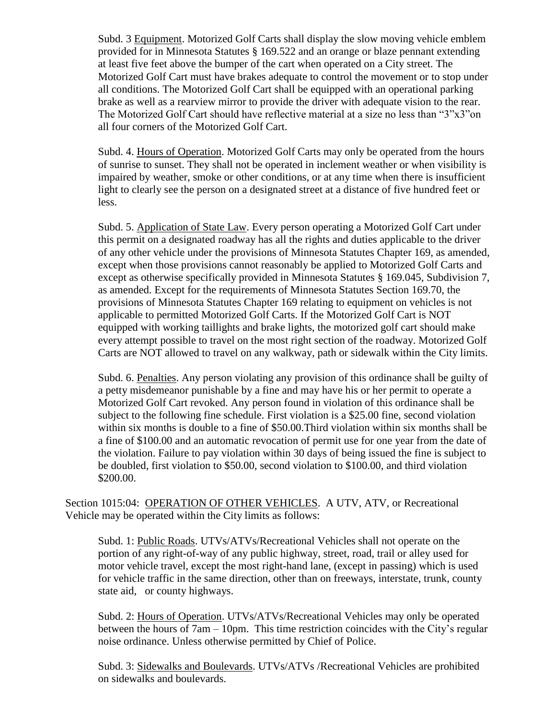Subd. 3 Equipment. Motorized Golf Carts shall display the slow moving vehicle emblem provided for in Minnesota Statutes § 169.522 and an orange or blaze pennant extending at least five feet above the bumper of the cart when operated on a City street. The Motorized Golf Cart must have brakes adequate to control the movement or to stop under all conditions. The Motorized Golf Cart shall be equipped with an operational parking brake as well as a rearview mirror to provide the driver with adequate vision to the rear. The Motorized Golf Cart should have reflective material at a size no less than "3"x3"on all four corners of the Motorized Golf Cart.

Subd. 4. Hours of Operation. Motorized Golf Carts may only be operated from the hours of sunrise to sunset. They shall not be operated in inclement weather or when visibility is impaired by weather, smoke or other conditions, or at any time when there is insufficient light to clearly see the person on a designated street at a distance of five hundred feet or less.

Subd. 5. Application of State Law. Every person operating a Motorized Golf Cart under this permit on a designated roadway has all the rights and duties applicable to the driver of any other vehicle under the provisions of Minnesota Statutes Chapter 169, as amended, except when those provisions cannot reasonably be applied to Motorized Golf Carts and except as otherwise specifically provided in Minnesota Statutes § 169.045, Subdivision 7, as amended. Except for the requirements of Minnesota Statutes Section 169.70, the provisions of Minnesota Statutes Chapter 169 relating to equipment on vehicles is not applicable to permitted Motorized Golf Carts. If the Motorized Golf Cart is NOT equipped with working taillights and brake lights, the motorized golf cart should make every attempt possible to travel on the most right section of the roadway. Motorized Golf Carts are NOT allowed to travel on any walkway, path or sidewalk within the City limits.

Subd. 6. Penalties. Any person violating any provision of this ordinance shall be guilty of a petty misdemeanor punishable by a fine and may have his or her permit to operate a Motorized Golf Cart revoked. Any person found in violation of this ordinance shall be subject to the following fine schedule. First violation is a \$25.00 fine, second violation within six months is double to a fine of \$50.00.Third violation within six months shall be a fine of \$100.00 and an automatic revocation of permit use for one year from the date of the violation. Failure to pay violation within 30 days of being issued the fine is subject to be doubled, first violation to \$50.00, second violation to \$100.00, and third violation \$200.00.

Section 1015:04: OPERATION OF OTHER VEHICLES. A UTV, ATV, or Recreational Vehicle may be operated within the City limits as follows:

Subd. 1: Public Roads. UTVs/ATVs/Recreational Vehicles shall not operate on the portion of any right-of-way of any public highway, street, road, trail or alley used for motor vehicle travel, except the most right-hand lane, (except in passing) which is used for vehicle traffic in the same direction, other than on freeways, interstate, trunk, county state aid, or county highways.

Subd. 2: Hours of Operation. UTVs/ATVs/Recreational Vehicles may only be operated between the hours of 7am – 10pm. This time restriction coincides with the City's regular noise ordinance. Unless otherwise permitted by Chief of Police.

Subd. 3: Sidewalks and Boulevards. UTVs/ATVs /Recreational Vehicles are prohibited on sidewalks and boulevards.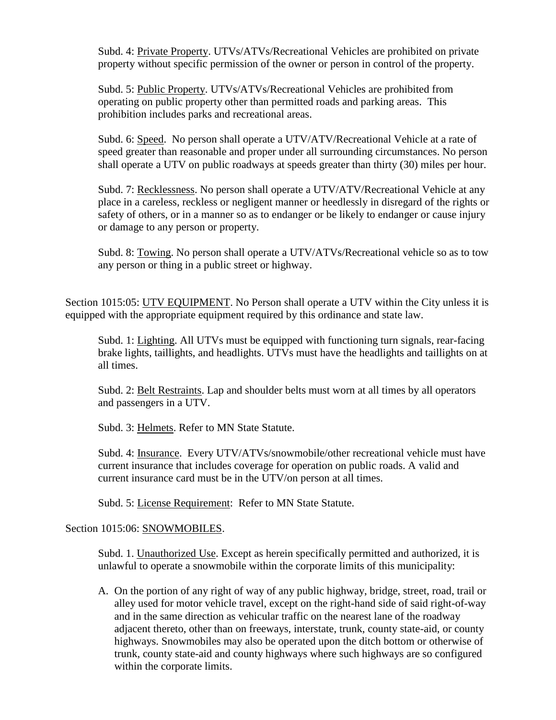Subd. 4: Private Property. UTVs/ATVs/Recreational Vehicles are prohibited on private property without specific permission of the owner or person in control of the property.

Subd. 5: Public Property. UTVs/ATVs/Recreational Vehicles are prohibited from operating on public property other than permitted roads and parking areas. This prohibition includes parks and recreational areas.

Subd. 6: Speed. No person shall operate a UTV/ATV/Recreational Vehicle at a rate of speed greater than reasonable and proper under all surrounding circumstances. No person shall operate a UTV on public roadways at speeds greater than thirty (30) miles per hour.

Subd. 7: Recklessness. No person shall operate a UTV/ATV/Recreational Vehicle at any place in a careless, reckless or negligent manner or heedlessly in disregard of the rights or safety of others, or in a manner so as to endanger or be likely to endanger or cause injury or damage to any person or property.

Subd. 8: Towing. No person shall operate a UTV/ATVs/Recreational vehicle so as to tow any person or thing in a public street or highway.

Section 1015:05: <u>UTV EQUIPMENT</u>. No Person shall operate a UTV within the City unless it is equipped with the appropriate equipment required by this ordinance and state law.

Subd. 1: Lighting. All UTVs must be equipped with functioning turn signals, rear-facing brake lights, taillights, and headlights. UTVs must have the headlights and taillights on at all times.

Subd. 2: Belt Restraints. Lap and shoulder belts must worn at all times by all operators and passengers in a UTV.

Subd. 3: Helmets. Refer to MN State Statute.

Subd. 4: Insurance. Every UTV/ATVs/snowmobile/other recreational vehicle must have current insurance that includes coverage for operation on public roads. A valid and current insurance card must be in the UTV/on person at all times.

Subd. 5: License Requirement: Refer to MN State Statute.

## Section 1015:06: SNOWMOBILES.

Subd. 1. Unauthorized Use. Except as herein specifically permitted and authorized, it is unlawful to operate a snowmobile within the corporate limits of this municipality:

A. On the portion of any right of way of any public highway, bridge, street, road, trail or alley used for motor vehicle travel, except on the right-hand side of said right-of-way and in the same direction as vehicular traffic on the nearest lane of the roadway adjacent thereto, other than on freeways, interstate, trunk, county state-aid, or county highways. Snowmobiles may also be operated upon the ditch bottom or otherwise of trunk, county state-aid and county highways where such highways are so configured within the corporate limits.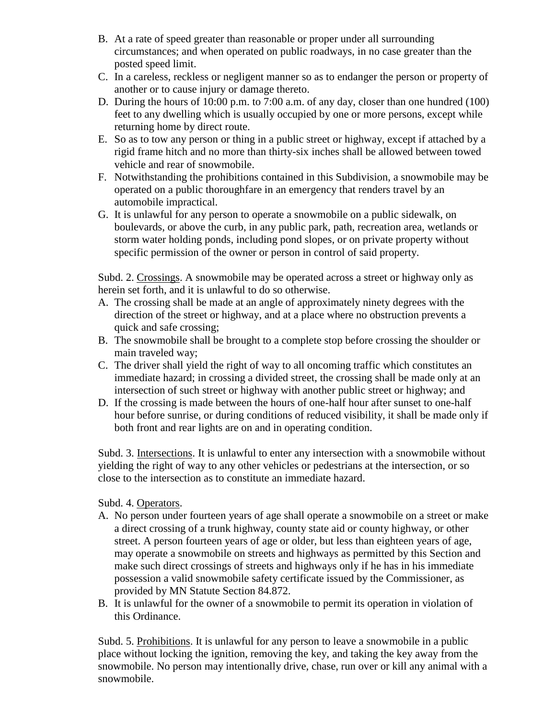- B. At a rate of speed greater than reasonable or proper under all surrounding circumstances; and when operated on public roadways, in no case greater than the posted speed limit.
- C. In a careless, reckless or negligent manner so as to endanger the person or property of another or to cause injury or damage thereto.
- D. During the hours of 10:00 p.m. to 7:00 a.m. of any day, closer than one hundred (100) feet to any dwelling which is usually occupied by one or more persons, except while returning home by direct route.
- E. So as to tow any person or thing in a public street or highway, except if attached by a rigid frame hitch and no more than thirty-six inches shall be allowed between towed vehicle and rear of snowmobile.
- F. Notwithstanding the prohibitions contained in this Subdivision, a snowmobile may be operated on a public thoroughfare in an emergency that renders travel by an automobile impractical.
- G. It is unlawful for any person to operate a snowmobile on a public sidewalk, on boulevards, or above the curb, in any public park, path, recreation area, wetlands or storm water holding ponds, including pond slopes, or on private property without specific permission of the owner or person in control of said property.

Subd. 2. Crossings. A snowmobile may be operated across a street or highway only as herein set forth, and it is unlawful to do so otherwise.

- A. The crossing shall be made at an angle of approximately ninety degrees with the direction of the street or highway, and at a place where no obstruction prevents a quick and safe crossing;
- B. The snowmobile shall be brought to a complete stop before crossing the shoulder or main traveled way;
- C. The driver shall yield the right of way to all oncoming traffic which constitutes an immediate hazard; in crossing a divided street, the crossing shall be made only at an intersection of such street or highway with another public street or highway; and
- D. If the crossing is made between the hours of one-half hour after sunset to one-half hour before sunrise, or during conditions of reduced visibility, it shall be made only if both front and rear lights are on and in operating condition.

Subd. 3. Intersections. It is unlawful to enter any intersection with a snowmobile without yielding the right of way to any other vehicles or pedestrians at the intersection, or so close to the intersection as to constitute an immediate hazard.

Subd. 4. Operators.

- A. No person under fourteen years of age shall operate a snowmobile on a street or make a direct crossing of a trunk highway, county state aid or county highway, or other street. A person fourteen years of age or older, but less than eighteen years of age, may operate a snowmobile on streets and highways as permitted by this Section and make such direct crossings of streets and highways only if he has in his immediate possession a valid snowmobile safety certificate issued by the Commissioner, as provided by MN Statute Section 84.872.
- B. It is unlawful for the owner of a snowmobile to permit its operation in violation of this Ordinance.

Subd. 5. Prohibitions. It is unlawful for any person to leave a snowmobile in a public place without locking the ignition, removing the key, and taking the key away from the snowmobile. No person may intentionally drive, chase, run over or kill any animal with a snowmobile.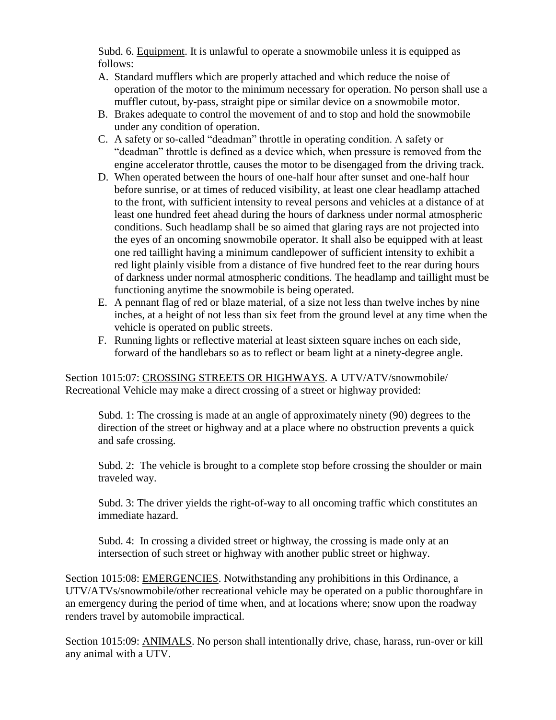Subd. 6. Equipment. It is unlawful to operate a snowmobile unless it is equipped as follows:

- A. Standard mufflers which are properly attached and which reduce the noise of operation of the motor to the minimum necessary for operation. No person shall use a muffler cutout, by-pass, straight pipe or similar device on a snowmobile motor.
- B. Brakes adequate to control the movement of and to stop and hold the snowmobile under any condition of operation.
- C. A safety or so-called "deadman" throttle in operating condition. A safety or "deadman" throttle is defined as a device which, when pressure is removed from the engine accelerator throttle, causes the motor to be disengaged from the driving track.
- D. When operated between the hours of one-half hour after sunset and one-half hour before sunrise, or at times of reduced visibility, at least one clear headlamp attached to the front, with sufficient intensity to reveal persons and vehicles at a distance of at least one hundred feet ahead during the hours of darkness under normal atmospheric conditions. Such headlamp shall be so aimed that glaring rays are not projected into the eyes of an oncoming snowmobile operator. It shall also be equipped with at least one red taillight having a minimum candlepower of sufficient intensity to exhibit a red light plainly visible from a distance of five hundred feet to the rear during hours of darkness under normal atmospheric conditions. The headlamp and taillight must be functioning anytime the snowmobile is being operated.
- E. A pennant flag of red or blaze material, of a size not less than twelve inches by nine inches, at a height of not less than six feet from the ground level at any time when the vehicle is operated on public streets.
- F. Running lights or reflective material at least sixteen square inches on each side, forward of the handlebars so as to reflect or beam light at a ninety-degree angle.

Section 1015:07: CROSSING STREETS OR HIGHWAYS. A UTV/ATV/snowmobile/ Recreational Vehicle may make a direct crossing of a street or highway provided:

Subd. 1: The crossing is made at an angle of approximately ninety (90) degrees to the direction of the street or highway and at a place where no obstruction prevents a quick and safe crossing.

Subd. 2: The vehicle is brought to a complete stop before crossing the shoulder or main traveled way.

Subd. 3: The driver yields the right-of-way to all oncoming traffic which constitutes an immediate hazard.

Subd. 4: In crossing a divided street or highway, the crossing is made only at an intersection of such street or highway with another public street or highway.

Section 1015:08: EMERGENCIES. Notwithstanding any prohibitions in this Ordinance, a UTV/ATVs/snowmobile/other recreational vehicle may be operated on a public thoroughfare in an emergency during the period of time when, and at locations where; snow upon the roadway renders travel by automobile impractical.

Section 1015:09: ANIMALS. No person shall intentionally drive, chase, harass, run-over or kill any animal with a UTV.